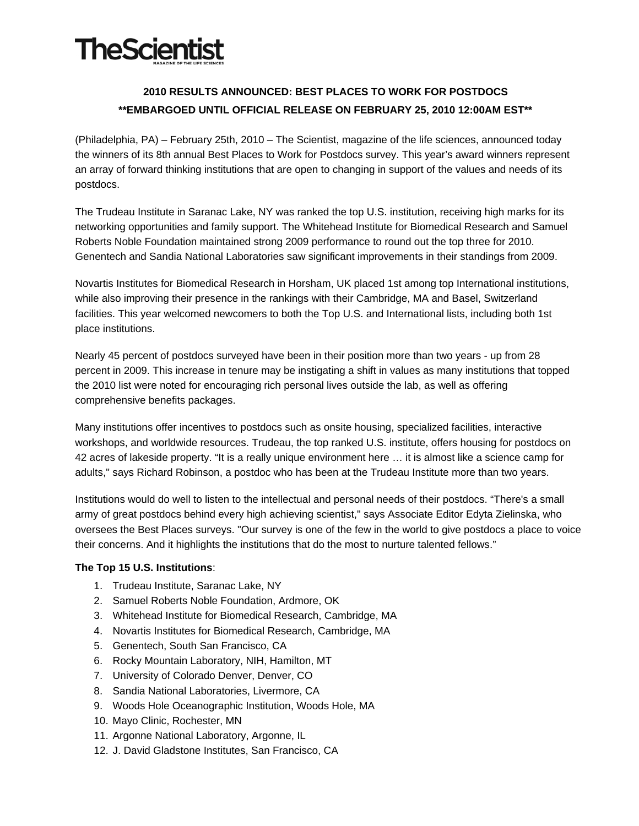# **TheScientist**

# **2010 RESULTS ANNOUNCED: BEST PLACES TO WORK FOR POSTDOCS \*\*EMBARGOED UNTIL OFFICIAL RELEASE ON FEBRUARY 25, 2010 12:00AM EST\*\***

(Philadelphia, PA) – February 25th, 2010 – The Scientist, magazine of the life sciences, announced today the winners of its 8th annual Best Places to Work for Postdocs survey. This year's award winners represent an array of forward thinking institutions that are open to changing in support of the values and needs of its postdocs.

The Trudeau Institute in Saranac Lake, NY was ranked the top U.S. institution, receiving high marks for its networking opportunities and family support. The Whitehead Institute for Biomedical Research and Samuel Roberts Noble Foundation maintained strong 2009 performance to round out the top three for 2010. Genentech and Sandia National Laboratories saw significant improvements in their standings from 2009.

Novartis Institutes for Biomedical Research in Horsham, UK placed 1st among top International institutions, while also improving their presence in the rankings with their Cambridge, MA and Basel, Switzerland facilities. This year welcomed newcomers to both the Top U.S. and International lists, including both 1st place institutions.

Nearly 45 percent of postdocs surveyed have been in their position more than two years - up from 28 percent in 2009. This increase in tenure may be instigating a shift in values as many institutions that topped the 2010 list were noted for encouraging rich personal lives outside the lab, as well as offering comprehensive benefits packages.

Many institutions offer incentives to postdocs such as onsite housing, specialized facilities, interactive workshops, and worldwide resources. Trudeau, the top ranked U.S. institute, offers housing for postdocs on 42 acres of lakeside property. "It is a really unique environment here … it is almost like a science camp for adults," says Richard Robinson, a postdoc who has been at the Trudeau Institute more than two years.

Institutions would do well to listen to the intellectual and personal needs of their postdocs. "There's a small army of great postdocs behind every high achieving scientist," says Associate Editor Edyta Zielinska, who oversees the Best Places surveys. "Our survey is one of the few in the world to give postdocs a place to voice their concerns. And it highlights the institutions that do the most to nurture talented fellows."

## **The Top 15 U.S. Institutions**:

- 1. Trudeau Institute, Saranac Lake, NY
- 2. Samuel Roberts Noble Foundation, Ardmore, OK
- 3. Whitehead Institute for Biomedical Research, Cambridge, MA
- 4. Novartis Institutes for Biomedical Research, Cambridge, MA
- 5. Genentech, South San Francisco, CA
- 6. Rocky Mountain Laboratory, NIH, Hamilton, MT
- 7. University of Colorado Denver, Denver, CO
- 8. Sandia National Laboratories, Livermore, CA
- 9. Woods Hole Oceanographic Institution, Woods Hole, MA
- 10. Mayo Clinic, Rochester, MN
- 11. Argonne National Laboratory, Argonne, IL
- 12. J. David Gladstone Institutes, San Francisco, CA